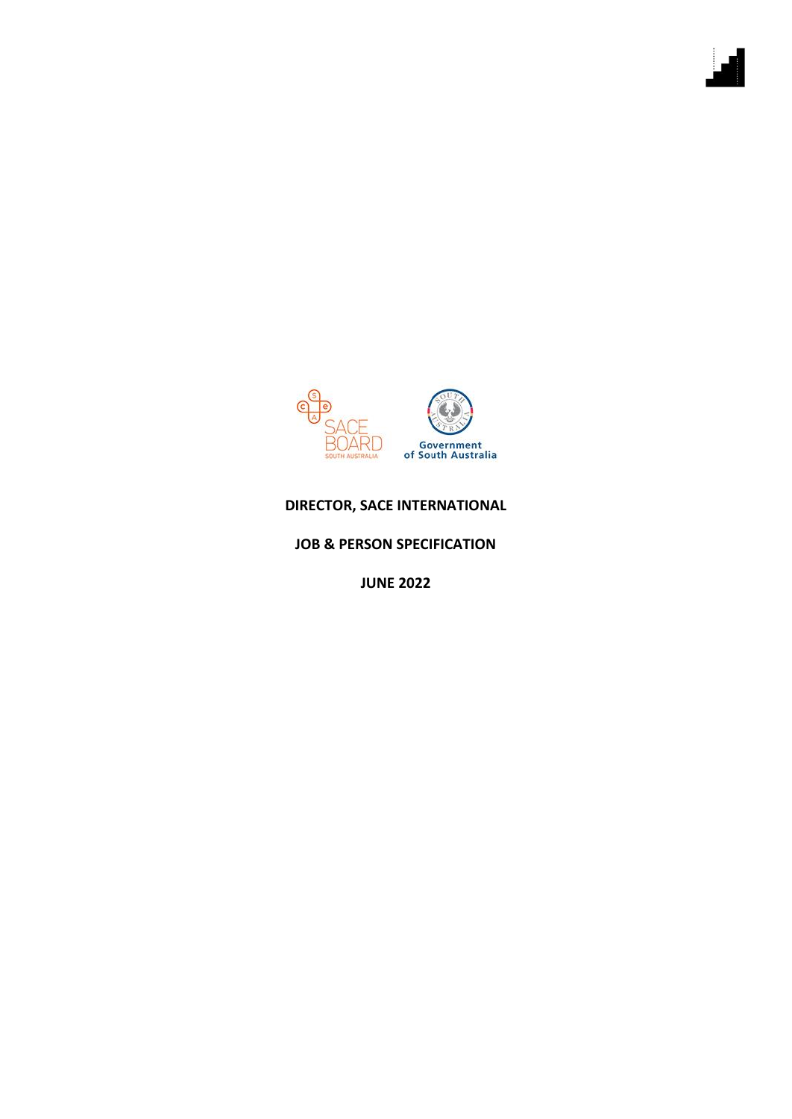

## **DIRECTOR, SACE INTERNATIONAL**

**JOB & PERSON SPECIFICATION**

**JUNE 2022**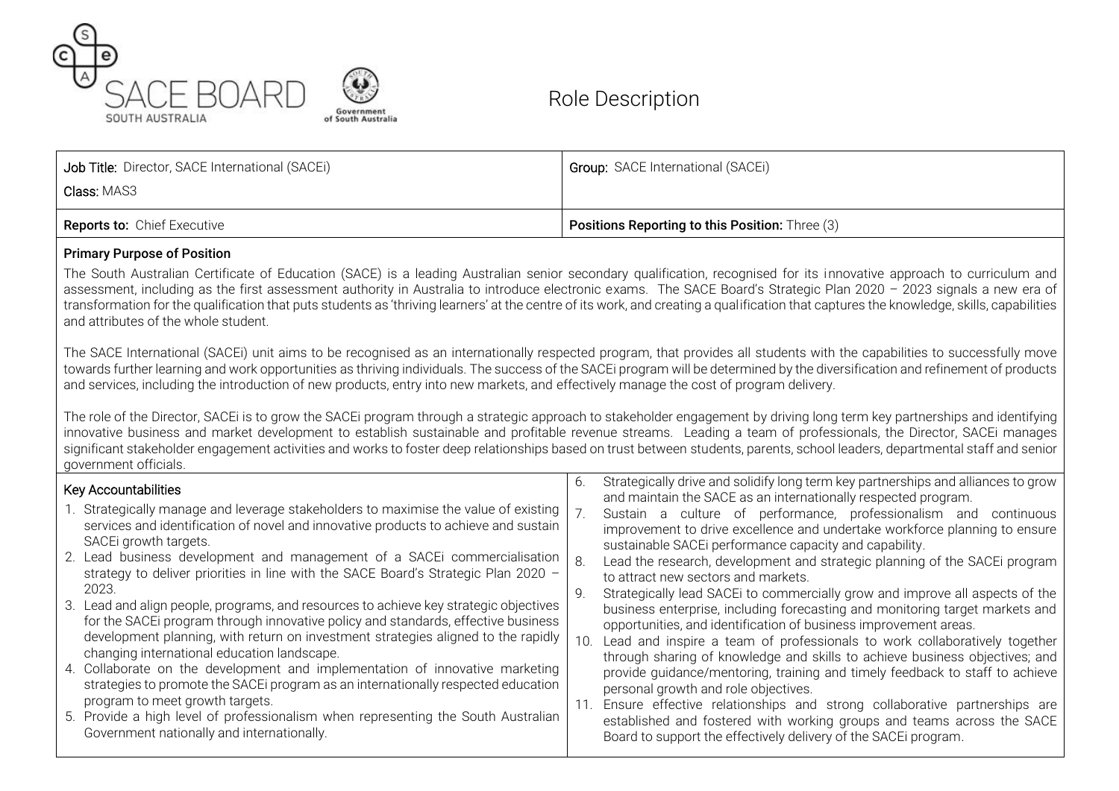



# Role Description

| <b>Reports to: Chief Executive</b>              | <b>Positions Reporting to this Position:</b> Three (3) |
|-------------------------------------------------|--------------------------------------------------------|
| <b>Class:</b> MAS3                              |                                                        |
| Job Title: Director, SACE International (SACEi) | <b>Group: SACE International (SACEi)</b>               |

#### Primary Purpose of Position

The South Australian Certificate of Education (SACE) is a leading Australian senior secondary qualification, recognised for its innovative approach to curriculum and assessment, including as the first assessment authority in Australia to introduce electronic exams. The SACE Board's Strategic Plan 2020 – 2023 signals a new era of transformation for the qualification that puts students as 'thriving learners' at the centre of its work, and creating a qualification that captures the knowledge, skills, capabilities and attributes of the whole student.

The SACE International (SACEi) unit aims to be recognised as an internationally respected program, that provides all students with the capabilities to successfully move towards further learning and work opportunities as thriving individuals. The success of the SACEi program will be determined by the diversification and refinement of products and services, including the introduction of new products, entry into new markets, and effectively manage the cost of program delivery.

The role of the Director, SACEi is to grow the SACEi program through a strategic approach to stakeholder engagement by driving long term key partnerships and identifying innovative business and market development to establish sustainable and profitable revenue streams. Leading a team of professionals, the Director, SACEi manages significant stakeholder engagement activities and works to foster deep relationships based on trust between students, parents, school leaders, departmental staff and senior government officials.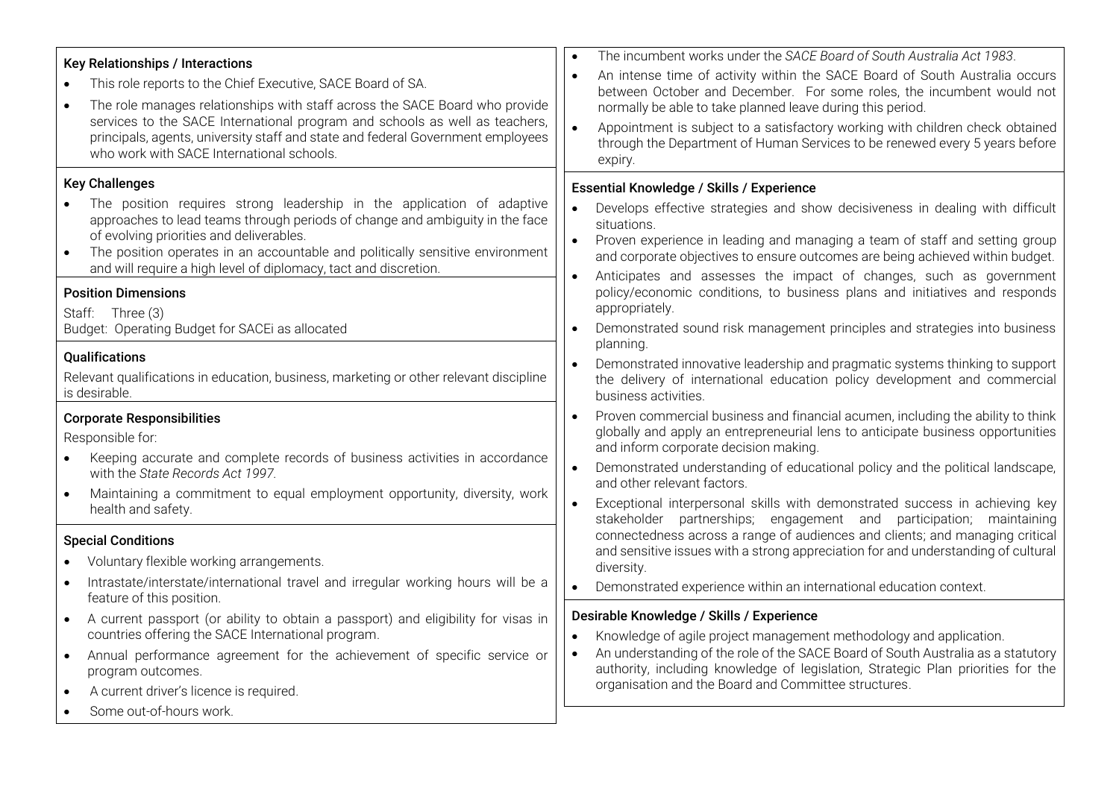| <b>Key Relationships / Interactions</b><br>This role reports to the Chief Executive, SACE Board of SA.<br>The role manages relationships with staff across the SACE Board who provide<br>$\bullet$<br>services to the SACE International program and schools as well as teachers,<br>principals, agents, university staff and state and federal Government employees<br>who work with SACE International schools.                                                                                                                        | The incumbent works under the SACE Board of South Australia Act 1983.<br>An intense time of activity within the SACE Board of South Australia occurs<br>$\bullet$<br>between October and December. For some roles, the incumbent would not<br>normally be able to take planned leave during this period.<br>Appointment is subject to a satisfactory working with children check obtained<br>$\bullet$<br>through the Department of Human Services to be renewed every 5 years before<br>expiry.                                                                                                                                                                                                                                                                                 |
|------------------------------------------------------------------------------------------------------------------------------------------------------------------------------------------------------------------------------------------------------------------------------------------------------------------------------------------------------------------------------------------------------------------------------------------------------------------------------------------------------------------------------------------|----------------------------------------------------------------------------------------------------------------------------------------------------------------------------------------------------------------------------------------------------------------------------------------------------------------------------------------------------------------------------------------------------------------------------------------------------------------------------------------------------------------------------------------------------------------------------------------------------------------------------------------------------------------------------------------------------------------------------------------------------------------------------------|
| <b>Key Challenges</b><br>The position requires strong leadership in the application of adaptive<br>$\bullet$<br>approaches to lead teams through periods of change and ambiguity in the face<br>of evolving priorities and deliverables.<br>The position operates in an accountable and politically sensitive environment<br>$\bullet$<br>and will require a high level of diplomacy, tact and discretion.<br><b>Position Dimensions</b><br>Staff: Three (3)<br>Budget: Operating Budget for SACEi as allocated<br><b>Qualifications</b> | Essential Knowledge / Skills / Experience<br>Develops effective strategies and show decisiveness in dealing with difficult<br>situations.<br>Proven experience in leading and managing a team of staff and setting group<br>$\bullet$<br>and corporate objectives to ensure outcomes are being achieved within budget.<br>Anticipates and assesses the impact of changes, such as government<br>$\bullet$<br>policy/economic conditions, to business plans and initiatives and responds<br>appropriately.<br>Demonstrated sound risk management principles and strategies into business<br>planning.                                                                                                                                                                             |
| Relevant qualifications in education, business, marketing or other relevant discipline<br>is desirable.<br><b>Corporate Responsibilities</b><br>Responsible for:<br>Keeping accurate and complete records of business activities in accordance<br>with the State Records Act 1997.<br>Maintaining a commitment to equal employment opportunity, diversity, work<br>$\bullet$<br>health and safety.                                                                                                                                       | Demonstrated innovative leadership and pragmatic systems thinking to support<br>the delivery of international education policy development and commercial<br>business activities.<br>Proven commercial business and financial acumen, including the ability to think<br>globally and apply an entrepreneurial lens to anticipate business opportunities<br>and inform corporate decision making.<br>Demonstrated understanding of educational policy and the political landscape,<br>$\bullet$<br>and other relevant factors.<br>Exceptional interpersonal skills with demonstrated success in achieving key<br>$\bullet$<br>stakeholder partnerships; engagement and participation; maintaining<br>connectedness across a range of audiences and clients; and managing critical |
| <b>Special Conditions</b><br>Voluntary flexible working arrangements.<br>Intrastate/interstate/international travel and irregular working hours will be a<br>$\bullet$                                                                                                                                                                                                                                                                                                                                                                   | and sensitive issues with a strong appreciation for and understanding of cultural<br>diversity.<br>Demonstrated experience within an international education context.                                                                                                                                                                                                                                                                                                                                                                                                                                                                                                                                                                                                            |
| feature of this position.<br>A current passport (or ability to obtain a passport) and eligibility for visas in<br>$\bullet$<br>countries offering the SACE International program.<br>Annual performance agreement for the achievement of specific service or<br>$\bullet$<br>program outcomes.<br>A current driver's licence is required.<br>$\bullet$<br>Some out-of-hours work.                                                                                                                                                        | Desirable Knowledge / Skills / Experience<br>Knowledge of agile project management methodology and application.<br>An understanding of the role of the SACE Board of South Australia as a statutory<br>$\bullet$<br>authority, including knowledge of legislation, Strategic Plan priorities for the<br>organisation and the Board and Committee structures.                                                                                                                                                                                                                                                                                                                                                                                                                     |